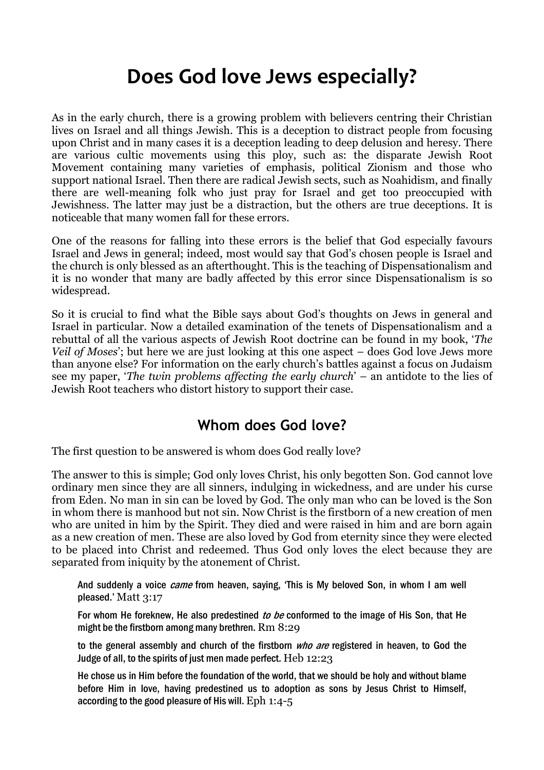# Does God love Jews especially?

As in the early church, there is a growing problem with believers centring their Christian lives on Israel and all things Jewish. This is a deception to distract people from focusing upon Christ and in many cases it is a deception leading to deep delusion and heresy. There are various cultic movements using this ploy, such as: the disparate Jewish Root Movement containing many varieties of emphasis, political Zionism and those who support national Israel. Then there are radical Jewish sects, such as Noahidism, and finally there are well-meaning folk who just pray for Israel and get too preoccupied with Jewishness. The latter may just be a distraction, but the others are true deceptions. It is noticeable that many women fall for these errors.

One of the reasons for falling into these errors is the belief that God especially favours Israel and Jews in general; indeed, most would say that God's chosen people is Israel and the church is only blessed as an afterthought. This is the teaching of Dispensationalism and it is no wonder that many are badly affected by this error since Dispensationalism is so widespread.

So it is crucial to find what the Bible says about God's thoughts on Jews in general and Israel in particular. Now a detailed examination of the tenets of Dispensationalism and a rebuttal of all the various aspects of Jewish Root doctrine can be found in my book, 'The Veil of Moses'; but here we are just looking at this one aspect – does God love Jews more than anyone else? For information on the early church's battles against a focus on Judaism see my paper, 'The twin problems affecting the early church' – an antidote to the lies of Jewish Root teachers who distort history to support their case.

## Whom does God love?

The first question to be answered is whom does God really love?

The answer to this is simple; God only loves Christ, his only begotten Son. God cannot love ordinary men since they are all sinners, indulging in wickedness, and are under his curse from Eden. No man in sin can be loved by God. The only man who can be loved is the Son in whom there is manhood but not sin. Now Christ is the firstborn of a new creation of men who are united in him by the Spirit. They died and were raised in him and are born again as a new creation of men. These are also loved by God from eternity since they were elected to be placed into Christ and redeemed. Thus God only loves the elect because they are separated from iniquity by the atonement of Christ.

And suddenly a voice *came* from heaven, saying, 'This is My beloved Son, in whom I am well pleased.' Matt 3:17

For whom He foreknew, He also predestined to be conformed to the image of His Son, that He might be the firstborn among many brethren. Rm 8:29

to the general assembly and church of the firstborn *who are* registered in heaven, to God the Judge of all, to the spirits of just men made perfect. Heb 12:23

He chose us in Him before the foundation of the world, that we should be holy and without blame before Him in love, having predestined us to adoption as sons by Jesus Christ to Himself, according to the good pleasure of His will. Eph 1:4-5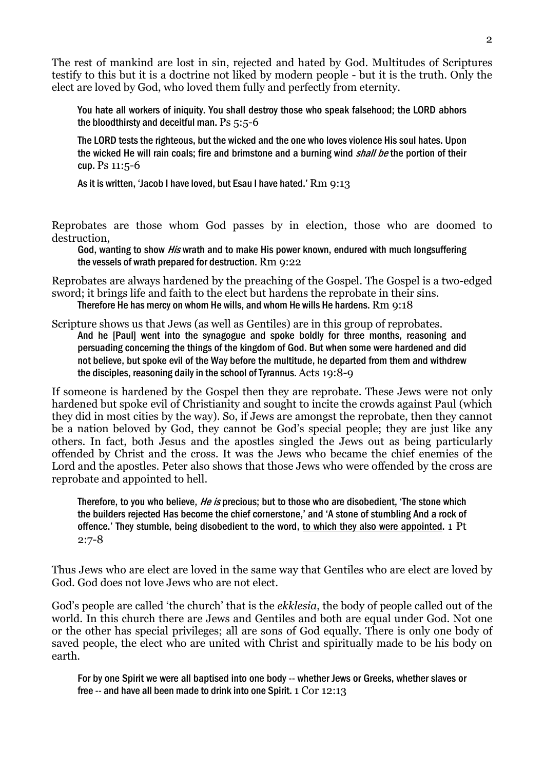The rest of mankind are lost in sin, rejected and hated by God. Multitudes of Scriptures testify to this but it is a doctrine not liked by modern people - but it is the truth. Only the elect are loved by God, who loved them fully and perfectly from eternity.

You hate all workers of iniquity. You shall destroy those who speak falsehood; the LORD abhors the bloodthirsty and deceitful man. Ps 5:5-6

The LORD tests the righteous, but the wicked and the one who loves violence His soul hates. Upon the wicked He will rain coals; fire and brimstone and a burning wind *shall be* the portion of their cup. Ps 11:5-6

As it is written, 'Jacob I have loved, but Esau I have hated.' Rm 9:13

Reprobates are those whom God passes by in election, those who are doomed to destruction,

God, wanting to show *His* wrath and to make His power known, endured with much longsuffering the vessels of wrath prepared for destruction. Rm 9:22

Reprobates are always hardened by the preaching of the Gospel. The Gospel is a two-edged sword; it brings life and faith to the elect but hardens the reprobate in their sins. Therefore He has mercy on whom He wills, and whom He wills He hardens. Rm 9:18

Scripture shows us that Jews (as well as Gentiles) are in this group of reprobates. And he [Paul] went into the synagogue and spoke boldly for three months, reasoning and persuading concerning the things of the kingdom of God. But when some were hardened and did not believe, but spoke evil of the Way before the multitude, he departed from them and withdrew the disciples, reasoning daily in the school of Tyrannus. Acts 19:8-9

If someone is hardened by the Gospel then they are reprobate. These Jews were not only hardened but spoke evil of Christianity and sought to incite the crowds against Paul (which they did in most cities by the way). So, if Jews are amongst the reprobate, then they cannot be a nation beloved by God, they cannot be God's special people; they are just like any others. In fact, both Jesus and the apostles singled the Jews out as being particularly offended by Christ and the cross. It was the Jews who became the chief enemies of the Lord and the apostles. Peter also shows that those Jews who were offended by the cross are reprobate and appointed to hell.

Therefore, to you who believe, *He is* precious; but to those who are disobedient, 'The stone which the builders rejected Has become the chief cornerstone,' and 'A stone of stumbling And a rock of offence.' They stumble, being disobedient to the word, to which they also were appointed. 1 Pt 2:7-8

Thus Jews who are elect are loved in the same way that Gentiles who are elect are loved by God. God does not love Jews who are not elect.

God's people are called 'the church' that is the ekklesia, the body of people called out of the world. In this church there are Jews and Gentiles and both are equal under God. Not one or the other has special privileges; all are sons of God equally. There is only one body of saved people, the elect who are united with Christ and spiritually made to be his body on earth.

For by one Spirit we were all baptised into one body -- whether Jews or Greeks, whether slaves or free -- and have all been made to drink into one Spirit. 1 Cor 12:13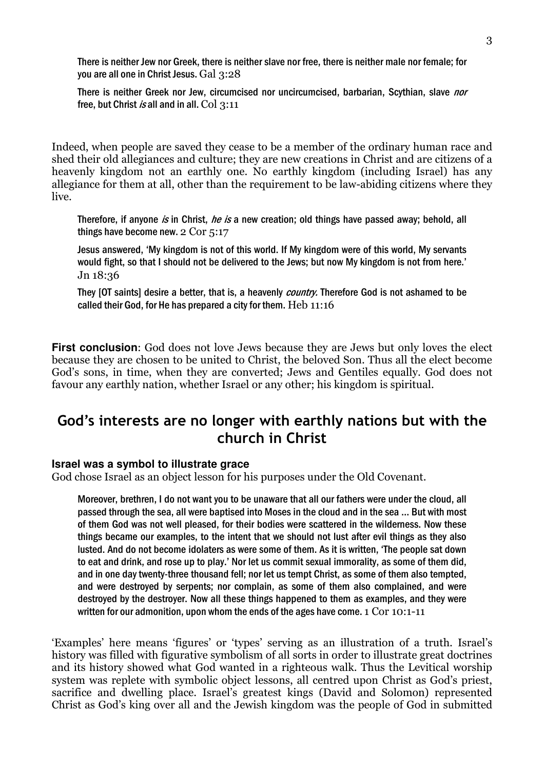There is neither Jew nor Greek, there is neither slave nor free, there is neither male nor female; for you are all one in Christ Jesus. Gal 3:28

There is neither Greek nor Jew, circumcised nor uncircumcised, barbarian, Scythian, slave nor free, but Christ is all and in all. Col  $3:11$ 

Indeed, when people are saved they cease to be a member of the ordinary human race and shed their old allegiances and culture; they are new creations in Christ and are citizens of a heavenly kingdom not an earthly one. No earthly kingdom (including Israel) has any allegiance for them at all, other than the requirement to be law-abiding citizens where they live.

Therefore, if anyone is in Christ, he is a new creation; old things have passed away; behold, all things have become new. 2 Cor 5:17

Jesus answered, 'My kingdom is not of this world. If My kingdom were of this world, My servants would fight, so that I should not be delivered to the Jews; but now My kingdom is not from here.' Jn 18:36

They [OT saints] desire a better, that is, a heavenly *country*. Therefore God is not ashamed to be called their God, for He has prepared a city for them. Heb 11:16

**First conclusion:** God does not love Jews because they are Jews but only loves the elect because they are chosen to be united to Christ, the beloved Son. Thus all the elect become God's sons, in time, when they are converted; Jews and Gentiles equally. God does not favour any earthly nation, whether Israel or any other; his kingdom is spiritual.

### God's interests are no longer with earthly nations but with the church in Christ

#### **Israel was a symbol to illustrate grace**

God chose Israel as an object lesson for his purposes under the Old Covenant.

Moreover, brethren, I do not want you to be unaware that all our fathers were under the cloud, all passed through the sea, all were baptised into Moses in the cloud and in the sea … But with most of them God was not well pleased, for their bodies were scattered in the wilderness. Now these things became our examples, to the intent that we should not lust after evil things as they also lusted. And do not become idolaters as were some of them. As it is written, 'The people sat down to eat and drink, and rose up to play.' Nor let us commit sexual immorality, as some of them did, and in one day twenty-three thousand fell; nor let us tempt Christ, as some of them also tempted, and were destroyed by serpents; nor complain, as some of them also complained, and were destroyed by the destroyer. Now all these things happened to them as examples, and they were written for our admonition, upon whom the ends of the ages have come. 1 Cor 10:1-11

'Examples' here means 'figures' or 'types' serving as an illustration of a truth. Israel's history was filled with figurative symbolism of all sorts in order to illustrate great doctrines and its history showed what God wanted in a righteous walk. Thus the Levitical worship system was replete with symbolic object lessons, all centred upon Christ as God's priest, sacrifice and dwelling place. Israel's greatest kings (David and Solomon) represented Christ as God's king over all and the Jewish kingdom was the people of God in submitted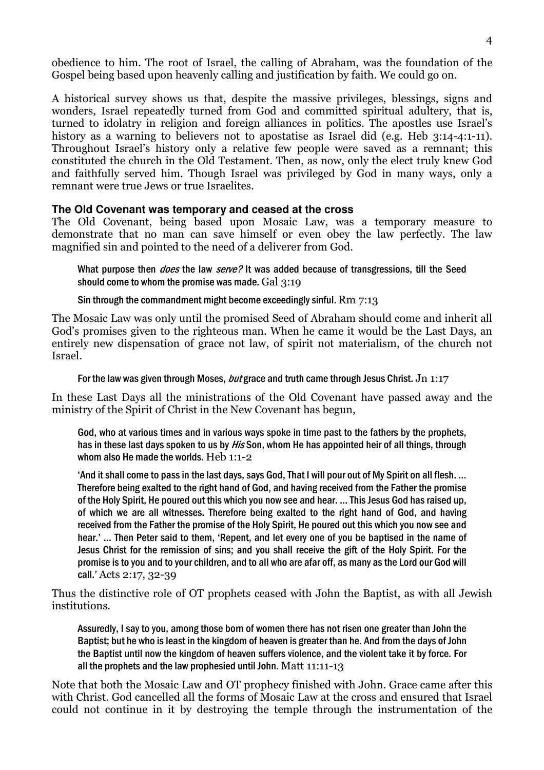obedience to him. The root of Israel, the calling of Abraham, was the foundation of the Gospel being based upon heavenly calling and justification by faith. We could go on.

A historical survey shows us that, despite the massive privileges, blessings, signs and wonders, Israel repeatedly turned from God and committed spiritual adultery, that is, turned to idolatry in religion and foreign alliances in politics. The apostles use Israel's history as a warning to believers not to apostatise as Israel did (e.g. Heb 3:14-4:1-11). Throughout Israel's history only a relative few people were saved as a remnant; this constituted the church in the Old Testament. Then, as now, only the elect truly knew God and faithfully served him. Though Israel was privileged by God in many ways, only a remnant were true Jews or true Israelites.

#### **The Old Covenant was temporary and ceased at the cross**

The Old Covenant, being based upon Mosaic Law, was a temporary measure to demonstrate that no man can save himself or even obey the law perfectly. The law magnified sin and pointed to the need of a deliverer from God.

What purpose then *does* the law *serve?* It was added because of transgressions, till the Seed should come to whom the promise was made. Gal 3:19

Sin through the commandment might become exceedingly sinful. Rm 7:13

The Mosaic Law was only until the promised Seed of Abraham should come and inherit all God's promises given to the righteous man. When he came it would be the Last Days, an entirely new dispensation of grace not law, of spirit not materialism, of the church not Israel.

#### For the law was given through Moses, *but* grace and truth came through Jesus Christ.  $Jn$  1:17

In these Last Days all the ministrations of the Old Covenant have passed away and the ministry of the Spirit of Christ in the New Covenant has begun,

God, who at various times and in various ways spoke in time past to the fathers by the prophets, has in these last days spoken to us by His Son, whom He has appointed heir of all things, through whom also He made the worlds. Heb 1:1-2

'And it shall come to pass in the last days, says God, That I will pour out of My Spirit on all flesh. … Therefore being exalted to the right hand of God, and having received from the Father the promise of the Holy Spirit, He poured out this which you now see and hear. … This Jesus God has raised up, of which we are all witnesses. Therefore being exalted to the right hand of God, and having received from the Father the promise of the Holy Spirit, He poured out this which you now see and hear.' … Then Peter said to them, 'Repent, and let every one of you be baptised in the name of Jesus Christ for the remission of sins; and you shall receive the gift of the Holy Spirit. For the promise is to you and to your children, and to all who are afar off, as many as the Lord our God will call.' Acts 2:17, 32-39

Thus the distinctive role of OT prophets ceased with John the Baptist, as with all Jewish institutions.

Assuredly, I say to you, among those born of women there has not risen one greater than John the Baptist; but he who is least in the kingdom of heaven is greater than he. And from the days of John the Baptist until now the kingdom of heaven suffers violence, and the violent take it by force. For all the prophets and the law prophesied until John. Matt 11:11-13

Note that both the Mosaic Law and OT prophecy finished with John. Grace came after this with Christ. God cancelled all the forms of Mosaic Law at the cross and ensured that Israel could not continue in it by destroying the temple through the instrumentation of the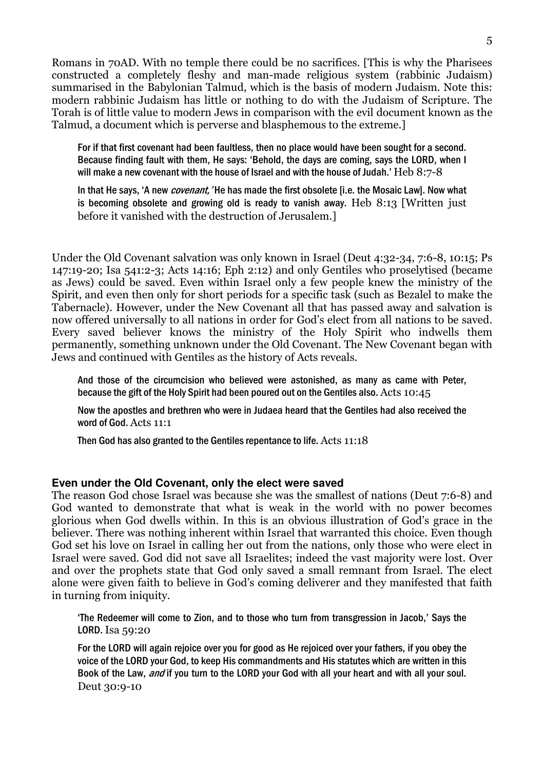5

Romans in 70AD. With no temple there could be no sacrifices. [This is why the Pharisees constructed a completely fleshy and man-made religious system (rabbinic Judaism) summarised in the Babylonian Talmud, which is the basis of modern Judaism. Note this: modern rabbinic Judaism has little or nothing to do with the Judaism of Scripture. The Torah is of little value to modern Jews in comparison with the evil document known as the Talmud, a document which is perverse and blasphemous to the extreme.]

For if that first covenant had been faultless, then no place would have been sought for a second. Because finding fault with them, He says: 'Behold, the days are coming, says the LORD, when I will make a new covenant with the house of Israel and with the house of Judah.' Heb 8:7-8

In that He says, 'A new covenant, 'He has made the first obsolete [i.e. the Mosaic Law]. Now what is becoming obsolete and growing old is ready to vanish away. Heb 8:13 [Written just before it vanished with the destruction of Jerusalem.]

Under the Old Covenant salvation was only known in Israel (Deut 4:32-34, 7:6-8, 10:15; Ps 147:19-20; Isa 541:2-3; Acts 14:16; Eph 2:12) and only Gentiles who proselytised (became as Jews) could be saved. Even within Israel only a few people knew the ministry of the Spirit, and even then only for short periods for a specific task (such as Bezalel to make the Tabernacle). However, under the New Covenant all that has passed away and salvation is now offered universally to all nations in order for God's elect from all nations to be saved. Every saved believer knows the ministry of the Holy Spirit who indwells them permanently, something unknown under the Old Covenant. The New Covenant began with Jews and continued with Gentiles as the history of Acts reveals.

And those of the circumcision who believed were astonished, as many as came with Peter, because the gift of the Holy Spirit had been poured out on the Gentiles also. Acts 10:45

Now the apostles and brethren who were in Judaea heard that the Gentiles had also received the word of God. Acts 11:1

Then God has also granted to the Gentiles repentance to life. Acts 11:18

#### **Even under the Old Covenant, only the elect were saved**

The reason God chose Israel was because she was the smallest of nations (Deut 7:6-8) and God wanted to demonstrate that what is weak in the world with no power becomes glorious when God dwells within. In this is an obvious illustration of God's grace in the believer. There was nothing inherent within Israel that warranted this choice. Even though God set his love on Israel in calling her out from the nations, only those who were elect in Israel were saved. God did not save all Israelites; indeed the vast majority were lost. Over and over the prophets state that God only saved a small remnant from Israel. The elect alone were given faith to believe in God's coming deliverer and they manifested that faith in turning from iniquity.

'The Redeemer will come to Zion, and to those who turn from transgression in Jacob,' Says the LORD. Isa 59:20

For the LORD will again rejoice over you for good as He rejoiced over your fathers, if you obey the voice of the LORD your God, to keep His commandments and His statutes which are written in this Book of the Law, *and* if you turn to the LORD your God with all your heart and with all your soul. Deut 30:9-10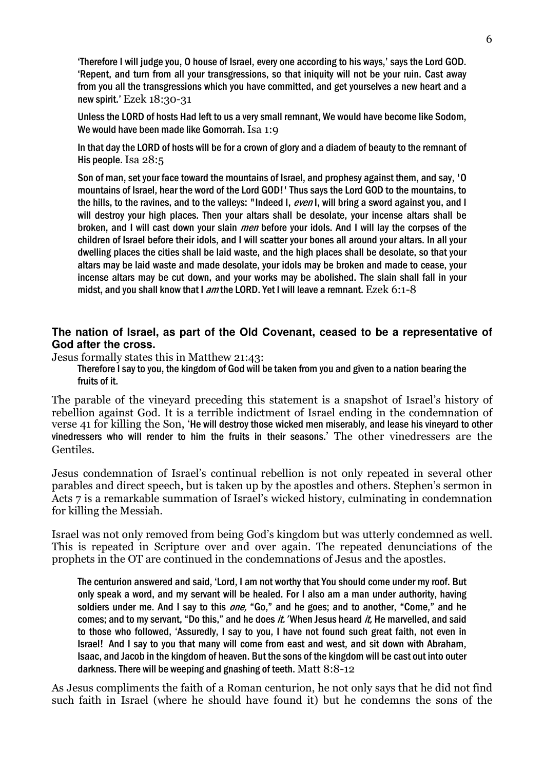'Therefore I will judge you, O house of Israel, every one according to his ways,' says the Lord GOD. 'Repent, and turn from all your transgressions, so that iniquity will not be your ruin. Cast away from you all the transgressions which you have committed, and get yourselves a new heart and a new spirit.' Ezek 18:30-31

Unless the LORD of hosts Had left to us a very small remnant, We would have become like Sodom, We would have been made like Gomorrah. Isa 1:9

In that day the LORD of hosts will be for a crown of glory and a diadem of beauty to the remnant of His people. Isa 28:5

Son of man, set your face toward the mountains of Israel, and prophesy against them, and say, 'O mountains of Israel, hear the word of the Lord GOD!' Thus says the Lord GOD to the mountains, to the hills, to the ravines, and to the valleys: "Indeed I, even I, will bring a sword against you, and I will destroy your high places. Then your altars shall be desolate, your incense altars shall be broken, and I will cast down your slain *men* before your idols. And I will lay the corpses of the children of Israel before their idols, and I will scatter your bones all around your altars. In all your dwelling places the cities shall be laid waste, and the high places shall be desolate, so that your altars may be laid waste and made desolate, your idols may be broken and made to cease, your incense altars may be cut down, and your works may be abolished. The slain shall fall in your midst, and you shall know that I am the LORD. Yet I will leave a remnant. Ezek 6:1-8

### **The nation of Israel, as part of the Old Covenant, ceased to be a representative of God after the cross.**

Jesus formally states this in Matthew 21:43:

Therefore I say to you, the kingdom of God will be taken from you and given to a nation bearing the fruits of it.

The parable of the vineyard preceding this statement is a snapshot of Israel's history of rebellion against God. It is a terrible indictment of Israel ending in the condemnation of verse 41 for killing the Son, 'He will destroy those wicked men miserably, and lease his vineyard to other vinedressers who will render to him the fruits in their seasons.' The other vinedressers are the Gentiles.

Jesus condemnation of Israel's continual rebellion is not only repeated in several other parables and direct speech, but is taken up by the apostles and others. Stephen's sermon in Acts 7 is a remarkable summation of Israel's wicked history, culminating in condemnation for killing the Messiah.

Israel was not only removed from being God's kingdom but was utterly condemned as well. This is repeated in Scripture over and over again. The repeated denunciations of the prophets in the OT are continued in the condemnations of Jesus and the apostles.

The centurion answered and said, 'Lord, I am not worthy that You should come under my roof. But only speak a word, and my servant will be healed. For I also am a man under authority, having soldiers under me. And I say to this one, "Go," and he goes; and to another, "Come," and he comes; and to my servant, "Do this," and he does  $it$ . 'When Jesus heard  $it$ , He marvelled, and said to those who followed, 'Assuredly, I say to you, I have not found such great faith, not even in Israel! And I say to you that many will come from east and west, and sit down with Abraham, Isaac, and Jacob in the kingdom of heaven. But the sons of the kingdom will be cast out into outer darkness. There will be weeping and gnashing of teeth. Matt 8:8-12

As Jesus compliments the faith of a Roman centurion, he not only says that he did not find such faith in Israel (where he should have found it) but he condemns the sons of the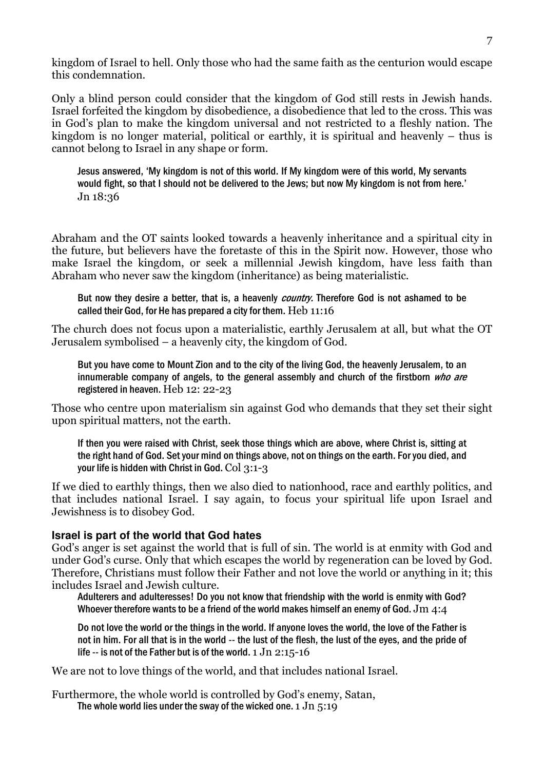kingdom of Israel to hell. Only those who had the same faith as the centurion would escape this condemnation.

Only a blind person could consider that the kingdom of God still rests in Jewish hands. Israel forfeited the kingdom by disobedience, a disobedience that led to the cross. This was in God's plan to make the kingdom universal and not restricted to a fleshly nation. The kingdom is no longer material, political or earthly, it is spiritual and heavenly – thus is cannot belong to Israel in any shape or form.

Jesus answered, 'My kingdom is not of this world. If My kingdom were of this world, My servants would fight, so that I should not be delivered to the Jews; but now My kingdom is not from here.' Jn 18:36

Abraham and the OT saints looked towards a heavenly inheritance and a spiritual city in the future, but believers have the foretaste of this in the Spirit now. However, those who make Israel the kingdom, or seek a millennial Jewish kingdom, have less faith than Abraham who never saw the kingdom (inheritance) as being materialistic.

But now they desire a better, that is, a heavenly *country*. Therefore God is not ashamed to be called their God, for He has prepared a city for them. Heb 11:16

The church does not focus upon a materialistic, earthly Jerusalem at all, but what the OT Jerusalem symbolised – a heavenly city, the kingdom of God.

But you have come to Mount Zion and to the city of the living God, the heavenly Jerusalem, to an innumerable company of angels, to the general assembly and church of the firstborn *who are* registered in heaven. Heb 12: 22-23

Those who centre upon materialism sin against God who demands that they set their sight upon spiritual matters, not the earth.

If then you were raised with Christ, seek those things which are above, where Christ is, sitting at the right hand of God. Set your mind on things above, not on things on the earth. For you died, and your life is hidden with Christ in God. Col 3:1-3

If we died to earthly things, then we also died to nationhood, race and earthly politics, and that includes national Israel. I say again, to focus your spiritual life upon Israel and Jewishness is to disobey God.

### **Israel is part of the world that God hates**

God's anger is set against the world that is full of sin. The world is at enmity with God and under God's curse. Only that which escapes the world by regeneration can be loved by God. Therefore, Christians must follow their Father and not love the world or anything in it; this includes Israel and Jewish culture.

Adulterers and adulteresses! Do you not know that friendship with the world is enmity with God? Whoever therefore wants to be a friend of the world makes himself an enemy of God. Jm 4:4

Do not love the world or the things in the world. If anyone loves the world, the love of the Father is not in him. For all that is in the world -- the lust of the flesh, the lust of the eyes, and the pride of life  $-$  is not of the Father but is of the world. 1 Jn 2:15-16

We are not to love things of the world, and that includes national Israel.

Furthermore, the whole world is controlled by God's enemy, Satan, The whole world lies under the sway of the wicked one.  $1 \text{ Jn } 5:19$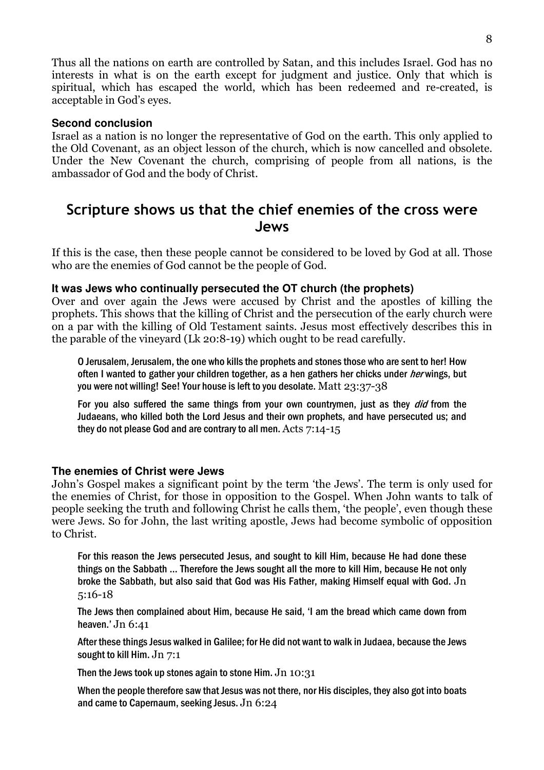Thus all the nations on earth are controlled by Satan, and this includes Israel. God has no interests in what is on the earth except for judgment and justice. Only that which is spiritual, which has escaped the world, which has been redeemed and re-created, is acceptable in God's eyes.

#### **Second conclusion**

Israel as a nation is no longer the representative of God on the earth. This only applied to the Old Covenant, as an object lesson of the church, which is now cancelled and obsolete. Under the New Covenant the church, comprising of people from all nations, is the ambassador of God and the body of Christ.

### Scripture shows us that the chief enemies of the cross were Jews

If this is the case, then these people cannot be considered to be loved by God at all. Those who are the enemies of God cannot be the people of God.

#### **It was Jews who continually persecuted the OT church (the prophets)**

Over and over again the Jews were accused by Christ and the apostles of killing the prophets. This shows that the killing of Christ and the persecution of the early church were on a par with the killing of Old Testament saints. Jesus most effectively describes this in the parable of the vineyard (Lk 20:8-19) which ought to be read carefully.

O Jerusalem, Jerusalem, the one who kills the prophets and stones those who are sent to her! How often I wanted to gather your children together, as a hen gathers her chicks under *her* wings, but you were not willing! See! Your house is left to you desolate. Matt 23:37-38

For you also suffered the same things from your own countrymen, just as they *did* from the Judaeans, who killed both the Lord Jesus and their own prophets, and have persecuted us; and they do not please God and are contrary to all men. Acts 7:14-15

#### **The enemies of Christ were Jews**

John's Gospel makes a significant point by the term 'the Jews'. The term is only used for the enemies of Christ, for those in opposition to the Gospel. When John wants to talk of people seeking the truth and following Christ he calls them, 'the people', even though these were Jews. So for John, the last writing apostle, Jews had become symbolic of opposition to Christ.

For this reason the Jews persecuted Jesus, and sought to kill Him, because He had done these things on the Sabbath … Therefore the Jews sought all the more to kill Him, because He not only broke the Sabbath, but also said that God was His Father, making Himself equal with God. Jn 5:16-18

The Jews then complained about Him, because He said, 'I am the bread which came down from heaven.' Jn 6:41

After these things Jesus walked in Galilee; for He did not want to walk in Judaea, because the Jews sought to kill Him. Jn 7:1

Then the Jews took up stones again to stone Him. Jn 10:31

When the people therefore saw that Jesus was not there, nor His disciples, they also got into boats and came to Capernaum, seeking Jesus. Jn 6:24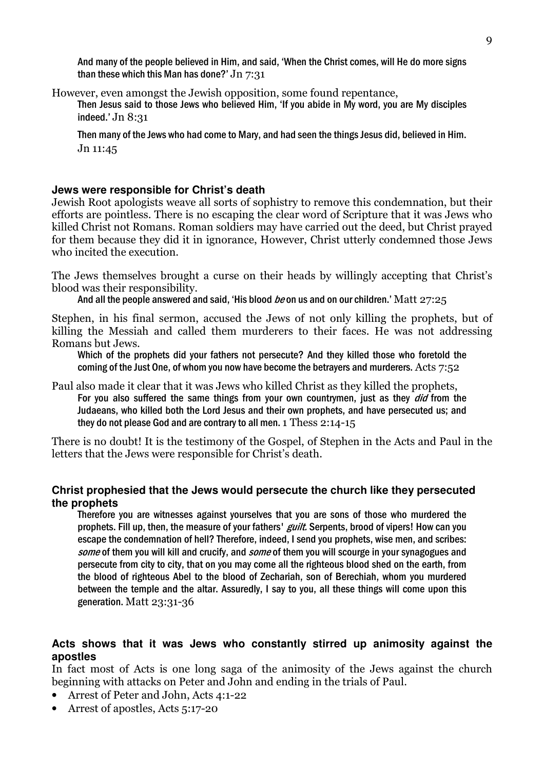And many of the people believed in Him, and said, 'When the Christ comes, will He do more signs than these which this Man has done?'  $Jn$  7:31

However, even amongst the Jewish opposition, some found repentance, Then Jesus said to those Jews who believed Him, 'If you abide in My word, you are My disciples indeed.' Jn 8:31

Then many of the Jews who had come to Mary, and had seen the things Jesus did, believed in Him. Jn 11:45

#### **Jews were responsible for Christ's death**

Jewish Root apologists weave all sorts of sophistry to remove this condemnation, but their efforts are pointless. There is no escaping the clear word of Scripture that it was Jews who killed Christ not Romans. Roman soldiers may have carried out the deed, but Christ prayed for them because they did it in ignorance, However, Christ utterly condemned those Jews who incited the execution.

The Jews themselves brought a curse on their heads by willingly accepting that Christ's blood was their responsibility.

And all the people answered and said, 'His blood *be* on us and on our children.' Matt 27:25

Stephen, in his final sermon, accused the Jews of not only killing the prophets, but of killing the Messiah and called them murderers to their faces. He was not addressing Romans but Jews.

Which of the prophets did your fathers not persecute? And they killed those who foretold the coming of the Just One, of whom you now have become the betravers and murderers. Acts  $7:52$ 

Paul also made it clear that it was Jews who killed Christ as they killed the prophets, For you also suffered the same things from your own countrymen, just as they *did* from the Judaeans, who killed both the Lord Jesus and their own prophets, and have persecuted us; and they do not please God and are contrary to all men. 1 Thess 2:14-15

There is no doubt! It is the testimony of the Gospel, of Stephen in the Acts and Paul in the letters that the Jews were responsible for Christ's death.

#### **Christ prophesied that the Jews would persecute the church like they persecuted the prophets**

Therefore you are witnesses against yourselves that you are sons of those who murdered the prophets. Fill up, then, the measure of your fathers' *guilt*. Serpents, brood of vipers! How can you escape the condemnation of hell? Therefore, indeed, I send you prophets, wise men, and scribes: some of them you will kill and crucify, and some of them you will scourge in your synagogues and persecute from city to city, that on you may come all the righteous blood shed on the earth, from the blood of righteous Abel to the blood of Zechariah, son of Berechiah, whom you murdered between the temple and the altar. Assuredly, I say to you, all these things will come upon this generation. Matt 23:31-36

#### **Acts shows that it was Jews who constantly stirred up animosity against the apostles**

In fact most of Acts is one long saga of the animosity of the Jews against the church beginning with attacks on Peter and John and ending in the trials of Paul.

- Arrest of Peter and John, Acts 4:1-22
- Arrest of apostles, Acts 5:17-20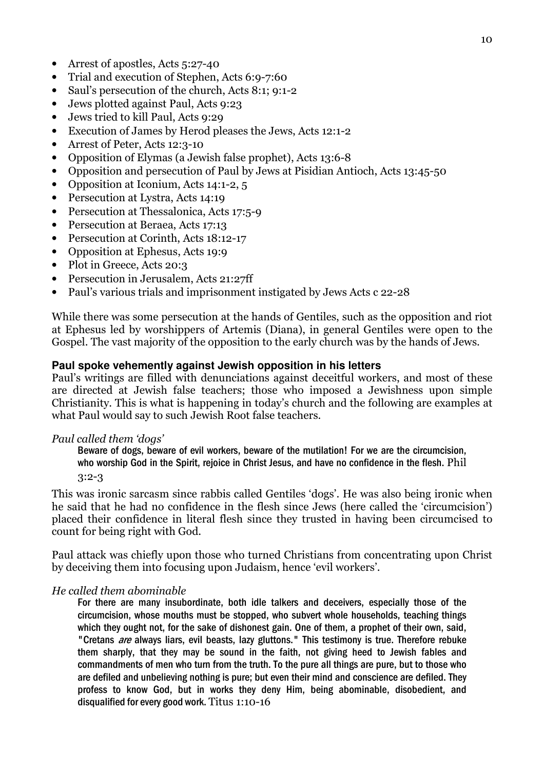- Arrest of apostles, Acts 5:27-40
- Trial and execution of Stephen, Acts 6:9-7:60
- Saul's persecution of the church, Acts 8:1; 9:1-2
- Jews plotted against Paul, Acts 9:23
- Jews tried to kill Paul, Acts 9:29
- Execution of James by Herod pleases the Jews, Acts 12:1-2
- Arrest of Peter, Acts 12:3-10
- Opposition of Elymas (a Jewish false prophet), Acts 13:6-8
- Opposition and persecution of Paul by Jews at Pisidian Antioch, Acts 13:45-50
- Opposition at Iconium, Acts 14:1-2, 5
- Persecution at Lystra, Acts 14:19
- Persecution at Thessalonica, Acts 17:5-9
- Persecution at Beraea, Acts 17:13
- Persecution at Corinth, Acts 18:12-17
- Opposition at Ephesus, Acts 19:9
- Plot in Greece, Acts 20:3
- Persecution in Jerusalem, Acts 21:27ff
- Paul's various trials and imprisonment instigated by Jews Acts c 22-28

While there was some persecution at the hands of Gentiles, such as the opposition and riot at Ephesus led by worshippers of Artemis (Diana), in general Gentiles were open to the Gospel. The vast majority of the opposition to the early church was by the hands of Jews.

#### **Paul spoke vehemently against Jewish opposition in his letters**

Paul's writings are filled with denunciations against deceitful workers, and most of these are directed at Jewish false teachers; those who imposed a Jewishness upon simple Christianity. This is what is happening in today's church and the following are examples at what Paul would say to such Jewish Root false teachers.

#### Paul called them 'doas'

Beware of dogs, beware of evil workers, beware of the mutilation! For we are the circumcision, who worship God in the Spirit, rejoice in Christ Jesus, and have no confidence in the flesh. Phil 3:2-3

This was ironic sarcasm since rabbis called Gentiles 'dogs'. He was also being ironic when he said that he had no confidence in the flesh since Jews (here called the 'circumcision') placed their confidence in literal flesh since they trusted in having been circumcised to count for being right with God.

Paul attack was chiefly upon those who turned Christians from concentrating upon Christ by deceiving them into focusing upon Judaism, hence 'evil workers'.

#### He called them abominable

For there are many insubordinate, both idle talkers and deceivers, especially those of the circumcision, whose mouths must be stopped, who subvert whole households, teaching things which they ought not, for the sake of dishonest gain. One of them, a prophet of their own, said, "Cretans *are* always liars, evil beasts, lazy gluttons." This testimony is true. Therefore rebuke them sharply, that they may be sound in the faith, not giving heed to Jewish fables and commandments of men who turn from the truth. To the pure all things are pure, but to those who are defiled and unbelieving nothing is pure; but even their mind and conscience are defiled. They profess to know God, but in works they deny Him, being abominable, disobedient, and disqualified for every good work. Titus 1:10-16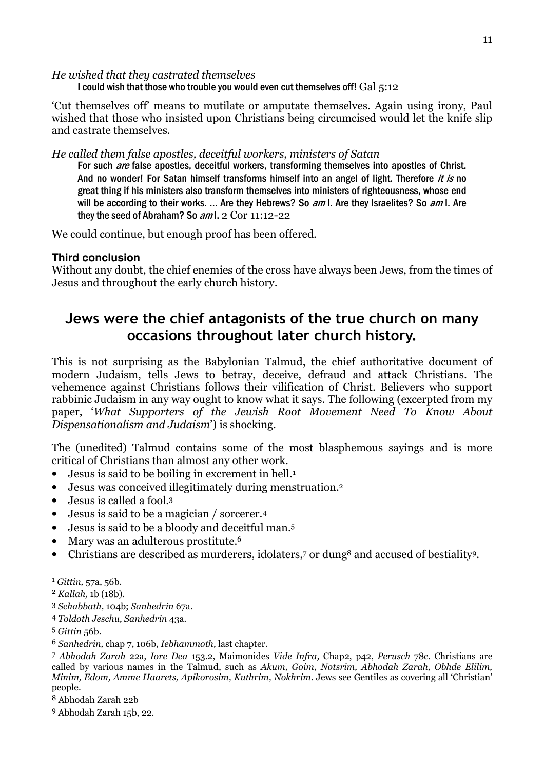#### He wished that they castrated themselves

I could wish that those who trouble you would even cut themselves off! Gal 5:12

'Cut themselves off' means to mutilate or amputate themselves. Again using irony, Paul wished that those who insisted upon Christians being circumcised would let the knife slip and castrate themselves.

He called them false apostles, deceitful workers, ministers of Satan

For such *are* false apostles, deceitful workers, transforming themselves into apostles of Christ. And no wonder! For Satan himself transforms himself into an angel of light. Therefore it is no great thing if his ministers also transform themselves into ministers of righteousness, whose end will be according to their works. ... Are they Hebrews? So am I. Are they Israelites? So am I. Are they the seed of Abraham? So  $am1$ ,  $2$  Cor  $11:12-22$ 

We could continue, but enough proof has been offered.

### **Third conclusion**

Without any doubt, the chief enemies of the cross have always been Jews, from the times of Jesus and throughout the early church history.

# Jews were the chief antagonists of the true church on many occasions throughout later church history.

This is not surprising as the Babylonian Talmud, the chief authoritative document of modern Judaism, tells Jews to betray, deceive, defraud and attack Christians. The vehemence against Christians follows their vilification of Christ. Believers who support rabbinic Judaism in any way ought to know what it says. The following (excerpted from my paper, 'What Supporters of the Jewish Root Movement Need To Know About Dispensationalism and Judaism') is shocking.

The (unedited) Talmud contains some of the most blasphemous sayings and is more critical of Christians than almost any other work.

- Jesus is said to be boiling in excrement in hell.<sup>1</sup>
- Jesus was conceived illegitimately during menstruation.<sup>2</sup>
- Jesus is called a fool.<sup>3</sup>
- Jesus is said to be a magician / sorcerer.<sup>4</sup>
- Jesus is said to be a bloody and deceitful man.<sup>5</sup>
- Mary was an adulterous prostitute.<sup>6</sup>
- Christians are described as murderers, idolaters, 7 or dung<sup>8</sup> and accused of bestiality<sup>9</sup>.

4 Toldoth Jeschu, Sanhedrin 43a.

I

 $<sup>1</sup>$  Gittin, 57a, 56b.</sup>

<sup>2</sup> Kallah, 1b (18b).

<sup>3</sup> Schabbath, 104b; Sanhedrin 67a.

<sup>5</sup> Gittin 56b.

<sup>6</sup> Sanhedrin, chap 7, 106b, Iebhammoth, last chapter.

<sup>7</sup> Abhodah Zarah 22a, Iore Dea 153.2, Maimonides Vide Infra, Chap2, p42, Perusch 78c. Christians are called by various names in the Talmud, such as Akum, Goim, Notsrim, Abhodah Zarah, Obhde Elilim, Minim, Edom, Amme Haarets, Apikorosim, Kuthrim, Nokhrim. Jews see Gentiles as covering all 'Christian' people.

<sup>8</sup> Abhodah Zarah 22b

<sup>9</sup> Abhodah Zarah 15b, 22.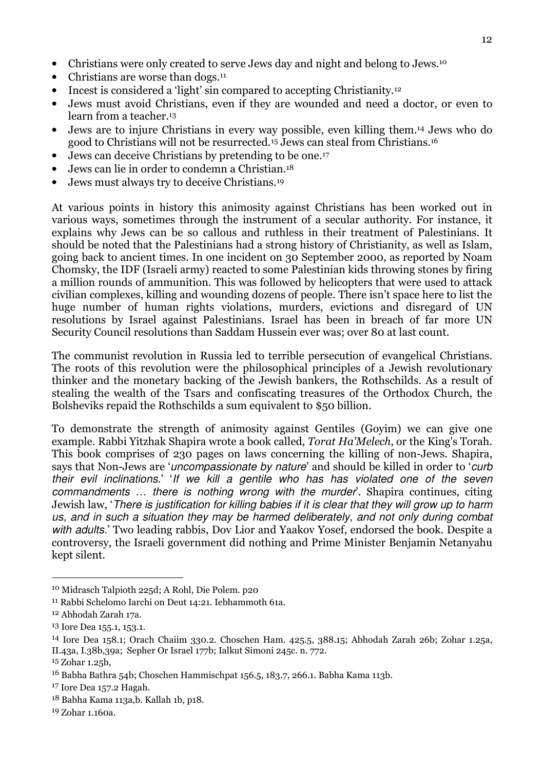- Christians were only created to serve Jews day and night and belong to Jews.<sup>10</sup>
- Christians are worse than dogs.<sup>11</sup>
- Incest is considered a 'light' sin compared to accepting Christianity.<sup>12</sup>
- Jews must avoid Christians, even if they are wounded and need a doctor, or even to learn from a teacher.<sup>13</sup>
- Jews are to injure Christians in every way possible, even killing them.<sup>14</sup> Jews who do good to Christians will not be resurrected.15 Jews can steal from Christians.<sup>16</sup>
- Jews can deceive Christians by pretending to be one. 17
- Jews can lie in order to condemn a Christian.<sup>18</sup>
- Jews must always try to deceive Christians.<sup>19</sup>

At various points in history this animosity against Christians has been worked out in various ways, sometimes through the instrument of a secular authority. For instance, it explains why Jews can be so callous and ruthless in their treatment of Palestinians. It should be noted that the Palestinians had a strong history of Christianity, as well as Islam, going back to ancient times. In one incident on 30 September 2000, as reported by Noam Chomsky, the IDF (Israeli army) reacted to some Palestinian kids throwing stones by firing a million rounds of ammunition. This was followed by helicopters that were used to attack civilian complexes, killing and wounding dozens of people. There isn't space here to list the huge number of human rights violations, murders, evictions and disregard of UN resolutions by Israel against Palestinians. Israel has been in breach of far more UN Security Council resolutions than Saddam Hussein ever was; over 80 at last count.

The communist revolution in Russia led to terrible persecution of evangelical Christians. The roots of this revolution were the philosophical principles of a Jewish revolutionary thinker and the monetary backing of the Jewish bankers, the Rothschilds. As a result of stealing the wealth of the Tsars and confiscating treasures of the Orthodox Church, the Bolsheviks repaid the Rothschilds a sum equivalent to \$50 billion.

To demonstrate the strength of animosity against Gentiles (Goyim) we can give one example. Rabbi Yitzhak Shapira wrote a book called, Torat Ha'Melech, or the King's Torah. This book comprises of 230 pages on laws concerning the killing of non-Jews. Shapira, says that Non-Jews are 'uncompassionate by nature' and should be killed in order to 'curb their evil inclinations.' 'If we kill a gentile who has has violated one of the seven commandments … there is nothing wrong with the murder'. Shapira continues, citing Jewish law, 'There is justification for killing babies if it is clear that they will grow up to harm us, and in such a situation they may be harmed deliberately, and not only during combat with adults.' Two leading rabbis, Dov Lior and Yaakov Yosef, endorsed the book. Despite a controversy, the Israeli government did nothing and Prime Minister Benjamin Netanyahu kept silent.

 $\overline{a}$ 

<sup>10</sup> Midrasch Talpioth 225d; A Rohl, Die Polem. p20

<sup>11</sup> Rabbi Schelomo Iarchi on Deut 14:21. Iebhammoth 61a.

<sup>12</sup> Abhodah Zarah 17a.

<sup>13</sup> Iore Dea 155.1, 153.1.

<sup>14</sup> Iore Dea 158.1; Orach Chaiim 330.2. Choschen Ham. 425.5, 388.15; Abhodah Zarah 26b; Zohar 1.25a, II.43a, I.38b,39a; Sepher Or Israel 177b; Ialkut Simoni 245c. n. 772.

<sup>15</sup> Zohar 1.25b,

<sup>16</sup> Babha Bathra 54b; Choschen Hammischpat 156.5, 183.7, 266.1. Babha Kama 113b.

<sup>17</sup> Iore Dea 157.2 Hagah.

<sup>18</sup> Babha Kama 113a,b. Kallah 1b, p18.

<sup>19</sup> Zohar 1.160a.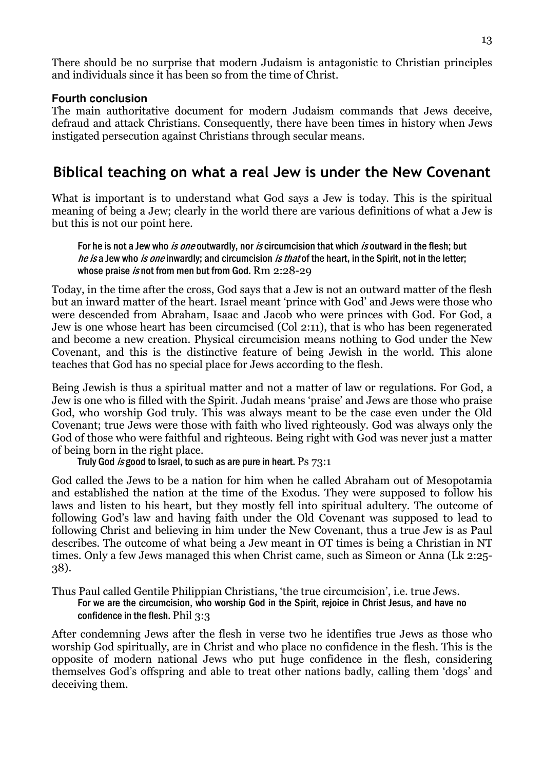There should be no surprise that modern Judaism is antagonistic to Christian principles and individuals since it has been so from the time of Christ.

### **Fourth conclusion**

The main authoritative document for modern Judaism commands that Jews deceive, defraud and attack Christians. Consequently, there have been times in history when Jews instigated persecution against Christians through secular means.

## Biblical teaching on what a real Jew is under the New Covenant

What is important is to understand what God says a Jew is today. This is the spiritual meaning of being a Jew; clearly in the world there are various definitions of what a Jew is but this is not our point here.

For he is not a Jew who is one outwardly, nor is circumcision that which is outward in the flesh; but he is a Jew who is one inwardly; and circumcision is that of the heart, in the Spirit, not in the letter; whose praise is not from men but from God.  $Rm$  2:28-29

Today, in the time after the cross, God says that a Jew is not an outward matter of the flesh but an inward matter of the heart. Israel meant 'prince with God' and Jews were those who were descended from Abraham, Isaac and Jacob who were princes with God. For God, a Jew is one whose heart has been circumcised (Col 2:11), that is who has been regenerated and become a new creation. Physical circumcision means nothing to God under the New Covenant, and this is the distinctive feature of being Jewish in the world. This alone teaches that God has no special place for Jews according to the flesh.

Being Jewish is thus a spiritual matter and not a matter of law or regulations. For God, a Jew is one who is filled with the Spirit. Judah means 'praise' and Jews are those who praise God, who worship God truly. This was always meant to be the case even under the Old Covenant; true Jews were those with faith who lived righteously. God was always only the God of those who were faithful and righteous. Being right with God was never just a matter of being born in the right place.

Truly God is good to Israel, to such as are pure in heart. Ps  $73:1$ 

God called the Jews to be a nation for him when he called Abraham out of Mesopotamia and established the nation at the time of the Exodus. They were supposed to follow his laws and listen to his heart, but they mostly fell into spiritual adultery. The outcome of following God's law and having faith under the Old Covenant was supposed to lead to following Christ and believing in him under the New Covenant, thus a true Jew is as Paul describes. The outcome of what being a Jew meant in OT times is being a Christian in NT times. Only a few Jews managed this when Christ came, such as Simeon or Anna (Lk 2:25- 38).

Thus Paul called Gentile Philippian Christians, 'the true circumcision', i.e. true Jews. For we are the circumcision, who worship God in the Spirit, rejoice in Christ Jesus, and have no confidence in the flesh. Phil 3:3

After condemning Jews after the flesh in verse two he identifies true Jews as those who worship God spiritually, are in Christ and who place no confidence in the flesh. This is the opposite of modern national Jews who put huge confidence in the flesh, considering themselves God's offspring and able to treat other nations badly, calling them 'dogs' and deceiving them.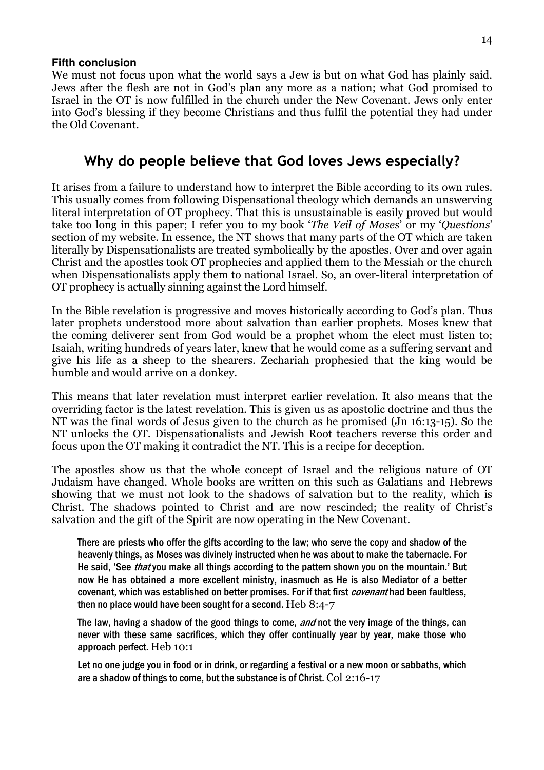#### **Fifth conclusion**

We must not focus upon what the world says a Jew is but on what God has plainly said. Jews after the flesh are not in God's plan any more as a nation; what God promised to Israel in the OT is now fulfilled in the church under the New Covenant. Jews only enter into God's blessing if they become Christians and thus fulfil the potential they had under the Old Covenant.

### Why do people believe that God loves Jews especially?

It arises from a failure to understand how to interpret the Bible according to its own rules. This usually comes from following Dispensational theology which demands an unswerving literal interpretation of OT prophecy. That this is unsustainable is easily proved but would take too long in this paper; I refer you to my book 'The Veil of Moses' or my 'Questions' section of my website. In essence, the NT shows that many parts of the OT which are taken literally by Dispensationalists are treated symbolically by the apostles. Over and over again Christ and the apostles took OT prophecies and applied them to the Messiah or the church when Dispensationalists apply them to national Israel. So, an over-literal interpretation of OT prophecy is actually sinning against the Lord himself.

In the Bible revelation is progressive and moves historically according to God's plan. Thus later prophets understood more about salvation than earlier prophets. Moses knew that the coming deliverer sent from God would be a prophet whom the elect must listen to; Isaiah, writing hundreds of years later, knew that he would come as a suffering servant and give his life as a sheep to the shearers. Zechariah prophesied that the king would be humble and would arrive on a donkey.

This means that later revelation must interpret earlier revelation. It also means that the overriding factor is the latest revelation. This is given us as apostolic doctrine and thus the NT was the final words of Jesus given to the church as he promised (Jn 16:13-15). So the NT unlocks the OT. Dispensationalists and Jewish Root teachers reverse this order and focus upon the OT making it contradict the NT. This is a recipe for deception.

The apostles show us that the whole concept of Israel and the religious nature of OT Judaism have changed. Whole books are written on this such as Galatians and Hebrews showing that we must not look to the shadows of salvation but to the reality, which is Christ. The shadows pointed to Christ and are now rescinded; the reality of Christ's salvation and the gift of the Spirit are now operating in the New Covenant.

There are priests who offer the gifts according to the law; who serve the copy and shadow of the heavenly things, as Moses was divinely instructed when he was about to make the tabernacle. For He said, 'See *that* you make all things according to the pattern shown you on the mountain.' But now He has obtained a more excellent ministry, inasmuch as He is also Mediator of a better covenant, which was established on better promises. For if that first *covenant* had been faultless, then no place would have been sought for a second. Heb 8:4-7

The law, having a shadow of the good things to come, and not the very image of the things, can never with these same sacrifices, which they offer continually year by year, make those who approach perfect. Heb 10:1

Let no one judge you in food or in drink, or regarding a festival or a new moon or sabbaths, which are a shadow of things to come, but the substance is of Christ. Col 2:16-17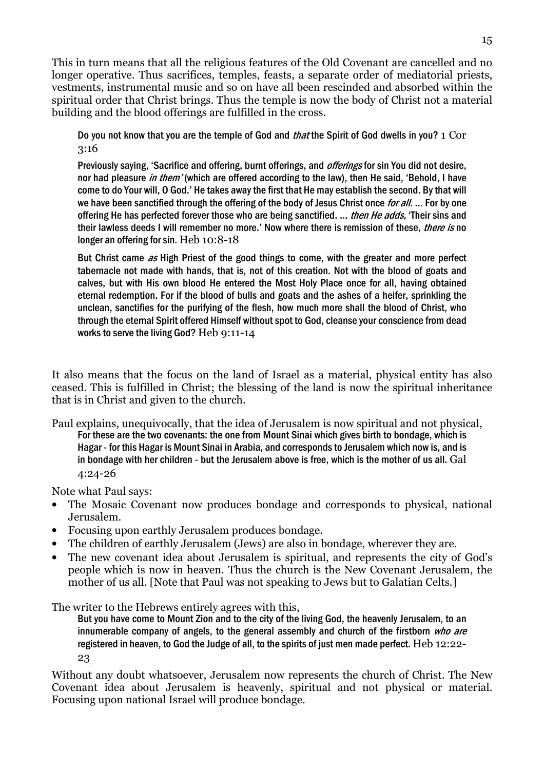This in turn means that all the religious features of the Old Covenant are cancelled and no longer operative. Thus sacrifices, temples, feasts, a separate order of mediatorial priests, vestments, instrumental music and so on have all been rescinded and absorbed within the spiritual order that Christ brings. Thus the temple is now the body of Christ not a material building and the blood offerings are fulfilled in the cross.

Do you not know that you are the temple of God and *that* the Spirit of God dwells in you? 1 Cor 3:16

Previously saying, 'Sacrifice and offering, burnt offerings, and *offerings* for sin You did not desire, nor had pleasure in them' (which are offered according to the law), then He said, 'Behold, I have come to do Your will, O God.' He takes away the first that He may establish the second. By that will we have been sanctified through the offering of the body of Jesus Christ once for all. ... For by one offering He has perfected forever those who are being sanctified. ... *then He adds*. 'Their sins and their lawless deeds I will remember no more.' Now where there is remission of these, *there is* no longer an offering for sin. Heb 10:8-18

But Christ came as High Priest of the good things to come, with the greater and more perfect tabernacle not made with hands, that is, not of this creation. Not with the blood of goats and calves, but with His own blood He entered the Most Holy Place once for all, having obtained eternal redemption. For if the blood of bulls and goats and the ashes of a heifer, sprinkling the unclean, sanctifies for the purifying of the flesh, how much more shall the blood of Christ, who through the eternal Spirit offered Himself without spot to God, cleanse your conscience from dead works to serve the living God? Heb 9:11-14

It also means that the focus on the land of Israel as a material, physical entity has also ceased. This is fulfilled in Christ; the blessing of the land is now the spiritual inheritance that is in Christ and given to the church.

Paul explains, unequivocally, that the idea of Jerusalem is now spiritual and not physical, For these are the two covenants: the one from Mount Sinai which gives birth to bondage, which is Hagar - for this Hagar is Mount Sinai in Arabia, and corresponds to Jerusalem which now is, and is in bondage with her children - but the Jerusalem above is free, which is the mother of us all. Gal 4:24-26

Note what Paul says:

- The Mosaic Covenant now produces bondage and corresponds to physical, national Jerusalem.
- Focusing upon earthly Jerusalem produces bondage.
- The children of earthly Jerusalem (Jews) are also in bondage, wherever they are.
- The new covenant idea about Jerusalem is spiritual, and represents the city of God's people which is now in heaven. Thus the church is the New Covenant Jerusalem, the mother of us all. [Note that Paul was not speaking to Jews but to Galatian Celts.]

The writer to the Hebrews entirely agrees with this,

But you have come to Mount Zion and to the city of the living God, the heavenly Jerusalem, to an innumerable company of angels, to the general assembly and church of the firstborn *who are* registered in heaven, to God the Judge of all, to the spirits of just men made perfect. Heb 12:22- 23

Without any doubt whatsoever, Jerusalem now represents the church of Christ. The New Covenant idea about Jerusalem is heavenly, spiritual and not physical or material. Focusing upon national Israel will produce bondage.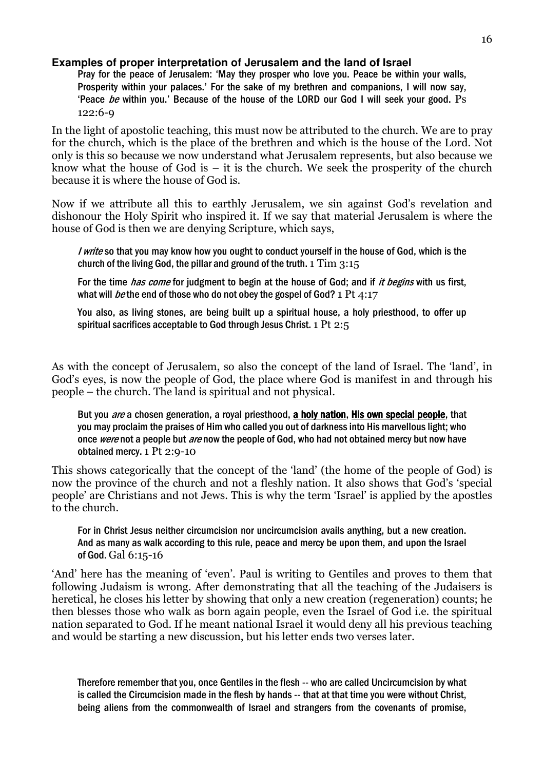#### **Examples of proper interpretation of Jerusalem and the land of Israel**

Pray for the peace of Jerusalem: 'May they prosper who love you. Peace be within your walls, Prosperity within your palaces.' For the sake of my brethren and companions, I will now say, 'Peace be within you.' Because of the house of the LORD our God I will seek your good.  $Ps$ 122:6-9

In the light of apostolic teaching, this must now be attributed to the church. We are to pray for the church, which is the place of the brethren and which is the house of the Lord. Not only is this so because we now understand what Jerusalem represents, but also because we know what the house of God is  $-$  it is the church. We seek the prosperity of the church because it is where the house of God is.

Now if we attribute all this to earthly Jerusalem, we sin against God's revelation and dishonour the Holy Spirit who inspired it. If we say that material Jerusalem is where the house of God is then we are denying Scripture, which says,

I write so that you may know how you ought to conduct yourself in the house of God, which is the church of the living God, the pillar and ground of the truth. 1  $\text{Tim } 3:15$ 

For the time *has come* for judgment to begin at the house of God; and if *it begins* with us first, what will *be* the end of those who do not obey the gospel of God? 1 Pt  $4:17$ 

You also, as living stones, are being built up a spiritual house, a holy priesthood, to offer up spiritual sacrifices acceptable to God through Jesus Christ. 1 Pt 2:5

As with the concept of Jerusalem, so also the concept of the land of Israel. The 'land', in God's eyes, is now the people of God, the place where God is manifest in and through his people – the church. The land is spiritual and not physical.

But you are a chosen generation, a royal priesthood, a holy nation, His own special people, that you may proclaim the praises of Him who called you out of darkness into His marvellous light; who once were not a people but are now the people of God, who had not obtained mercy but now have obtained mercy. 1 Pt 2:9-10

This shows categorically that the concept of the 'land' (the home of the people of God) is now the province of the church and not a fleshly nation. It also shows that God's 'special people' are Christians and not Jews. This is why the term 'Israel' is applied by the apostles to the church.

For in Christ Jesus neither circumcision nor uncircumcision avails anything, but a new creation. And as many as walk according to this rule, peace and mercy be upon them, and upon the Israel of God. Gal 6:15-16

'And' here has the meaning of 'even'. Paul is writing to Gentiles and proves to them that following Judaism is wrong. After demonstrating that all the teaching of the Judaisers is heretical, he closes his letter by showing that only a new creation (regeneration) counts; he then blesses those who walk as born again people, even the Israel of God i.e. the spiritual nation separated to God. If he meant national Israel it would deny all his previous teaching and would be starting a new discussion, but his letter ends two verses later.

Therefore remember that you, once Gentiles in the flesh -- who are called Uncircumcision by what is called the Circumcision made in the flesh by hands -- that at that time you were without Christ, being aliens from the commonwealth of Israel and strangers from the covenants of promise,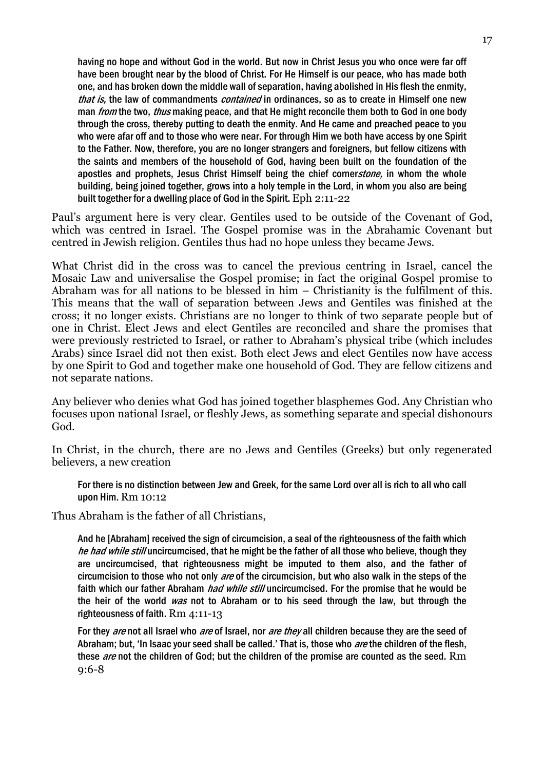having no hope and without God in the world. But now in Christ Jesus you who once were far off have been brought near by the blood of Christ. For He Himself is our peace, who has made both one, and has broken down the middle wall of separation, having abolished in His flesh the enmity, that is, the law of commandments *contained* in ordinances, so as to create in Himself one new man *from* the two, *thus* making peace, and that He might reconcile them both to God in one body through the cross, thereby putting to death the enmity. And He came and preached peace to you who were afar off and to those who were near. For through Him we both have access by one Spirit to the Father. Now, therefore, you are no longer strangers and foreigners, but fellow citizens with the saints and members of the household of God, having been built on the foundation of the apostles and prophets, Jesus Christ Himself being the chief cornerstone, in whom the whole building, being joined together, grows into a holy temple in the Lord, in whom you also are being built together for a dwelling place of God in the Spirit. Eph 2:11-22

Paul's argument here is very clear. Gentiles used to be outside of the Covenant of God, which was centred in Israel. The Gospel promise was in the Abrahamic Covenant but centred in Jewish religion. Gentiles thus had no hope unless they became Jews.

What Christ did in the cross was to cancel the previous centring in Israel, cancel the Mosaic Law and universalise the Gospel promise; in fact the original Gospel promise to Abraham was for all nations to be blessed in him – Christianity is the fulfilment of this. This means that the wall of separation between Jews and Gentiles was finished at the cross; it no longer exists. Christians are no longer to think of two separate people but of one in Christ. Elect Jews and elect Gentiles are reconciled and share the promises that were previously restricted to Israel, or rather to Abraham's physical tribe (which includes Arabs) since Israel did not then exist. Both elect Jews and elect Gentiles now have access by one Spirit to God and together make one household of God. They are fellow citizens and not separate nations.

Any believer who denies what God has joined together blasphemes God. Any Christian who focuses upon national Israel, or fleshly Jews, as something separate and special dishonours God.

In Christ, in the church, there are no Jews and Gentiles (Greeks) but only regenerated believers, a new creation

For there is no distinction between Jew and Greek, for the same Lord over all is rich to all who call upon Him. Rm 10:12

Thus Abraham is the father of all Christians,

And he [Abraham] received the sign of circumcision, a seal of the righteousness of the faith which he had while still uncircumcised, that he might be the father of all those who believe, though they are uncircumcised, that righteousness might be imputed to them also, and the father of circumcision to those who not only *are* of the circumcision, but who also walk in the steps of the faith which our father Abraham *had while still* uncircumcised. For the promise that he would be the heir of the world *was* not to Abraham or to his seed through the law, but through the righteousness of faith. Rm 4:11-13

For they are not all Israel who are of Israel, nor are they all children because they are the seed of Abraham; but, 'In Isaac your seed shall be called.' That is, those who *are* the children of the flesh, these *are* not the children of God; but the children of the promise are counted as the seed. Rm 9:6-8